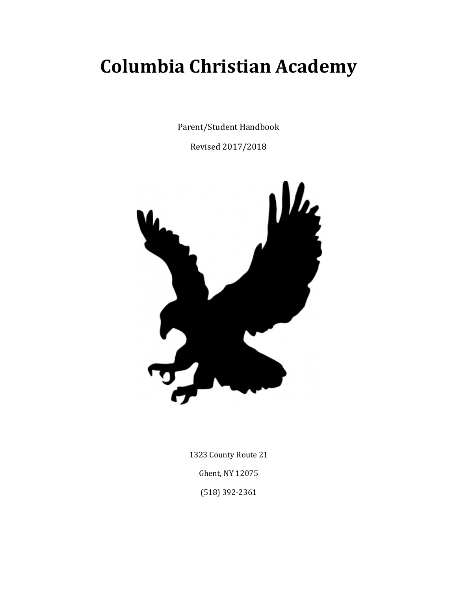# **Columbia Christian Academy**

Parent/Student Handbook

Revised 2017/2018



1323 County Route 21 Ghent, NY 12075 (518) 392-2361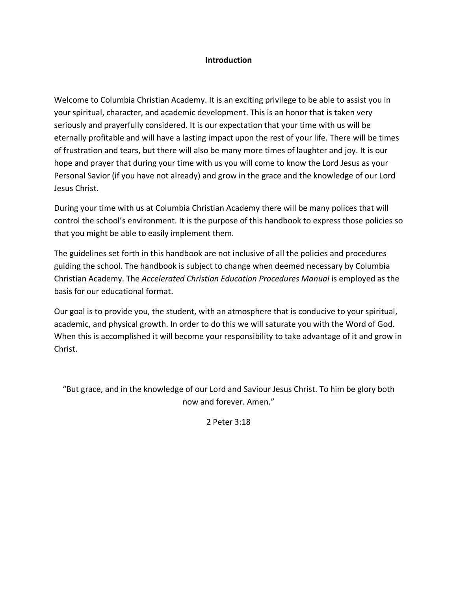# **Introduction**

Welcome to Columbia Christian Academy. It is an exciting privilege to be able to assist you in your spiritual, character, and academic development. This is an honor that is taken very seriously and prayerfully considered. It is our expectation that your time with us will be eternally profitable and will have a lasting impact upon the rest of your life. There will be times of frustration and tears, but there will also be many more times of laughter and joy. It is our hope and prayer that during your time with us you will come to know the Lord Jesus as your Personal Savior (if you have not already) and grow in the grace and the knowledge of our Lord Jesus Christ.

During your time with us at Columbia Christian Academy there will be many polices that will control the school's environment. It is the purpose of this handbook to express those policies so that you might be able to easily implement them.

The guidelines set forth in this handbook are not inclusive of all the policies and procedures guiding the school. The handbook is subject to change when deemed necessary by Columbia Christian Academy. The *Accelerated Christian Education Procedures Manual* is employed as the basis for our educational format.

Our goal is to provide you, the student, with an atmosphere that is conducive to your spiritual, academic, and physical growth. In order to do this we will saturate you with the Word of God. When this is accomplished it will become your responsibility to take advantage of it and grow in Christ.

"But grace, and in the knowledge of our Lord and Saviour Jesus Christ. To him be glory both now and forever. Amen."

2 Peter 3:18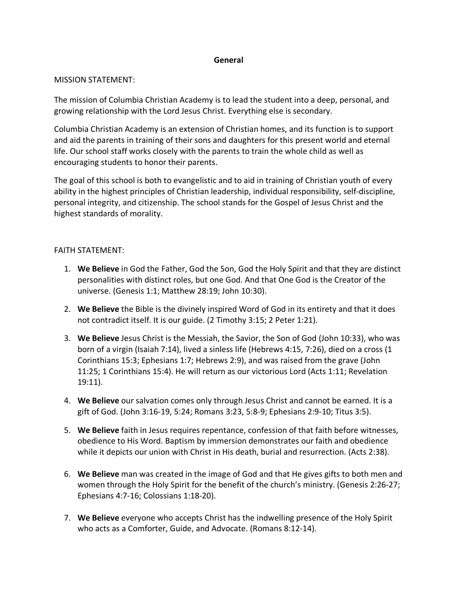# **General**

## MISSION STATEMENT:

The mission of Columbia Christian Academy is to lead the student into a deep, personal, and growing relationship with the Lord Jesus Christ. Everything else is secondary.

Columbia Christian Academy is an extension of Christian homes, and its function is to support and aid the parents in training of their sons and daughters for this present world and eternal life. Our school staff works closely with the parents to train the whole child as well as encouraging students to honor their parents.

The goal of this school is both to evangelistic and to aid in training of Christian youth of every ability in the highest principles of Christian leadership, individual responsibility, self-discipline, personal integrity, and citizenship. The school stands for the Gospel of Jesus Christ and the highest standards of morality.

# FAITH STATEMENT:

- 1. **We Believe** in God the Father, God the Son, God the Holy Spirit and that they are distinct personalities with distinct roles, but one God. And that One God is the Creator of the universe. (Genesis 1:1; Matthew 28:19; John 10:30).
- 2. **We Believe** the Bible is the divinely inspired Word of God in its entirety and that it does not contradict itself. It is our guide. (2 Timothy 3:15; 2 Peter 1:21).
- 3. **We Believe** Jesus Christ is the Messiah, the Savior, the Son of God (John 10:33), who was born of a virgin (Isaiah 7:14), lived a sinless life (Hebrews 4:15, 7:26), died on a cross (1 Corinthians 15:3; Ephesians 1:7; Hebrews 2:9), and was raised from the grave (John 11:25; 1 Corinthians 15:4). He will return as our victorious Lord (Acts 1:11; Revelation 19:11).
- 4. **We Believe** our salvation comes only through Jesus Christ and cannot be earned. It is a gift of God. (John 3:16-19, 5:24; Romans 3:23, 5:8-9; Ephesians 2:9-10; Titus 3:5).
- 5. **We Believe** faith in Jesus requires repentance, confession of that faith before witnesses, obedience to His Word. Baptism by immersion demonstrates our faith and obedience while it depicts our union with Christ in His death, burial and resurrection. (Acts 2:38).
- 6. **We Believe** man was created in the image of God and that He gives gifts to both men and women through the Holy Spirit for the benefit of the church's ministry. (Genesis 2:26-27; Ephesians 4:7-16; Colossians 1:18-20).
- 7. **We Believe** everyone who accepts Christ has the indwelling presence of the Holy Spirit who acts as a Comforter, Guide, and Advocate. (Romans 8:12-14).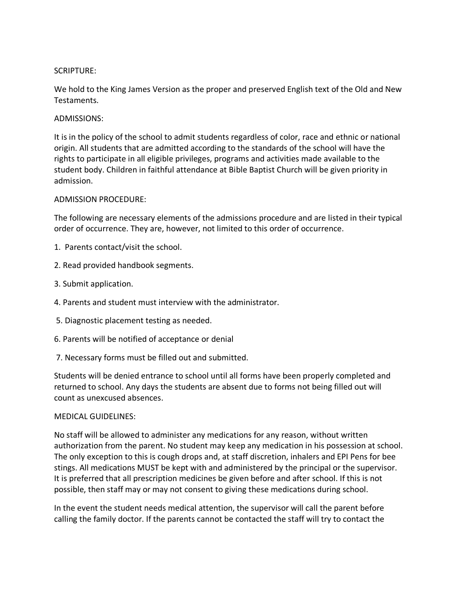# SCRIPTURE:

We hold to the King James Version as the proper and preserved English text of the Old and New Testaments.

# ADMISSIONS:

It is in the policy of the school to admit students regardless of color, race and ethnic or national origin. All students that are admitted according to the standards of the school will have the rights to participate in all eligible privileges, programs and activities made available to the student body. Children in faithful attendance at Bible Baptist Church will be given priority in admission.

# ADMISSION PROCEDURE:

The following are necessary elements of the admissions procedure and are listed in their typical order of occurrence. They are, however, not limited to this order of occurrence.

- 1. Parents contact/visit the school.
- 2. Read provided handbook segments.
- 3. Submit application.
- 4. Parents and student must interview with the administrator.
- 5. Diagnostic placement testing as needed.
- 6. Parents will be notified of acceptance or denial
- 7. Necessary forms must be filled out and submitted.

Students will be denied entrance to school until all forms have been properly completed and returned to school. Any days the students are absent due to forms not being filled out will count as unexcused absences.

## MEDICAL GUIDELINES:

No staff will be allowed to administer any medications for any reason, without written authorization from the parent. No student may keep any medication in his possession at school. The only exception to this is cough drops and, at staff discretion, inhalers and EPI Pens for bee stings. All medications MUST be kept with and administered by the principal or the supervisor. It is preferred that all prescription medicines be given before and after school. If this is not possible, then staff may or may not consent to giving these medications during school.

In the event the student needs medical attention, the supervisor will call the parent before calling the family doctor. If the parents cannot be contacted the staff will try to contact the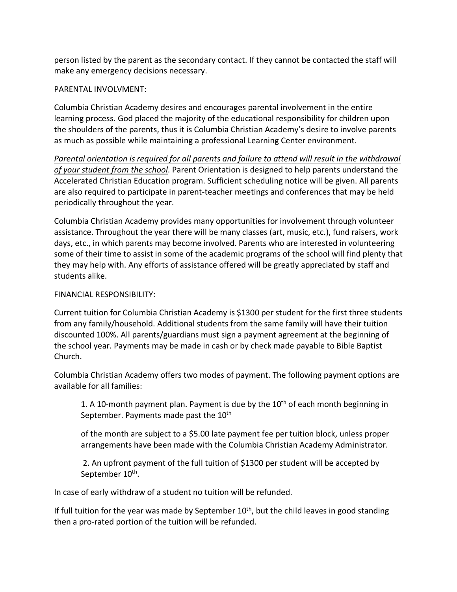person listed by the parent as the secondary contact. If they cannot be contacted the staff will make any emergency decisions necessary.

## PARENTAL INVOLVMENT:

Columbia Christian Academy desires and encourages parental involvement in the entire learning process. God placed the majority of the educational responsibility for children upon the shoulders of the parents, thus it is Columbia Christian Academy's desire to involve parents as much as possible while maintaining a professional Learning Center environment.

*Parental orientation is required for all parents and failure to attend will result in the withdrawal of your student from the school*. Parent Orientation is designed to help parents understand the Accelerated Christian Education program. Sufficient scheduling notice will be given. All parents are also required to participate in parent-teacher meetings and conferences that may be held periodically throughout the year.

Columbia Christian Academy provides many opportunities for involvement through volunteer assistance. Throughout the year there will be many classes (art, music, etc.), fund raisers, work days, etc., in which parents may become involved. Parents who are interested in volunteering some of their time to assist in some of the academic programs of the school will find plenty that they may help with. Any efforts of assistance offered will be greatly appreciated by staff and students alike.

## FINANCIAL RESPONSIBILITY:

Current tuition for Columbia Christian Academy is \$1300 per student for the first three students from any family/household. Additional students from the same family will have their tuition discounted 100%. All parents/guardians must sign a payment agreement at the beginning of the school year. Payments may be made in cash or by check made payable to Bible Baptist Church.

Columbia Christian Academy offers two modes of payment. The following payment options are available for all families:

1. A 10-month payment plan. Payment is due by the  $10<sup>th</sup>$  of each month beginning in September. Payments made past the 10<sup>th</sup>

of the month are subject to a \$5.00 late payment fee per tuition block, unless proper arrangements have been made with the Columbia Christian Academy Administrator.

2. An upfront payment of the full tuition of \$1300 per student will be accepted by September 10<sup>th</sup>.

In case of early withdraw of a student no tuition will be refunded.

If full tuition for the year was made by September  $10<sup>th</sup>$ , but the child leaves in good standing then a pro-rated portion of the tuition will be refunded.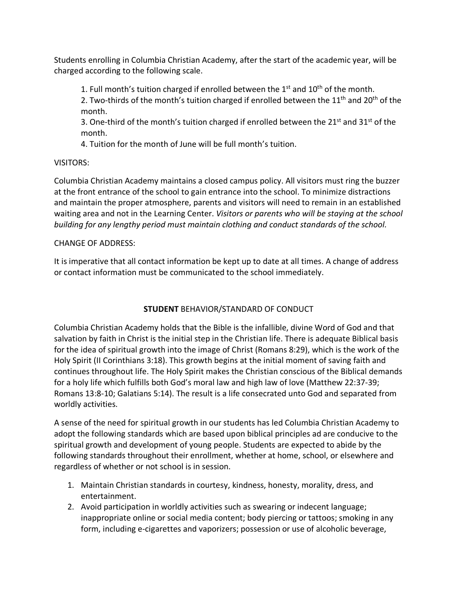Students enrolling in Columbia Christian Academy, after the start of the academic year, will be charged according to the following scale.

1. Full month's tuition charged if enrolled between the  $1<sup>st</sup>$  and  $10<sup>th</sup>$  of the month.

2. Two-thirds of the month's tuition charged if enrolled between the  $11<sup>th</sup>$  and  $20<sup>th</sup>$  of the month.

3. One-third of the month's tuition charged if enrolled between the 21st and 31st of the month.

4. Tuition for the month of June will be full month's tuition.

# VISITORS:

Columbia Christian Academy maintains a closed campus policy. All visitors must ring the buzzer at the front entrance of the school to gain entrance into the school. To minimize distractions and maintain the proper atmosphere, parents and visitors will need to remain in an established waiting area and not in the Learning Center. *Visitors or parents who will be staying at the school building for any lengthy period must maintain clothing and conduct standards of the school.* 

# CHANGE OF ADDRESS:

It is imperative that all contact information be kept up to date at all times. A change of address or contact information must be communicated to the school immediately.

# **STUDENT** BEHAVIOR/STANDARD OF CONDUCT

Columbia Christian Academy holds that the Bible is the infallible, divine Word of God and that salvation by faith in Christ is the initial step in the Christian life. There is adequate Biblical basis for the idea of spiritual growth into the image of Christ (Romans 8:29), which is the work of the Holy Spirit (II Corinthians 3:18). This growth begins at the initial moment of saving faith and continues throughout life. The Holy Spirit makes the Christian conscious of the Biblical demands for a holy life which fulfills both God's moral law and high law of love (Matthew 22:37-39; Romans 13:8-10; Galatians 5:14). The result is a life consecrated unto God and separated from worldly activities.

A sense of the need for spiritual growth in our students has led Columbia Christian Academy to adopt the following standards which are based upon biblical principles ad are conducive to the spiritual growth and development of young people. Students are expected to abide by the following standards throughout their enrollment, whether at home, school, or elsewhere and regardless of whether or not school is in session.

- 1. Maintain Christian standards in courtesy, kindness, honesty, morality, dress, and entertainment.
- 2. Avoid participation in worldly activities such as swearing or indecent language; inappropriate online or social media content; body piercing or tattoos; smoking in any form, including e-cigarettes and vaporizers; possession or use of alcoholic beverage,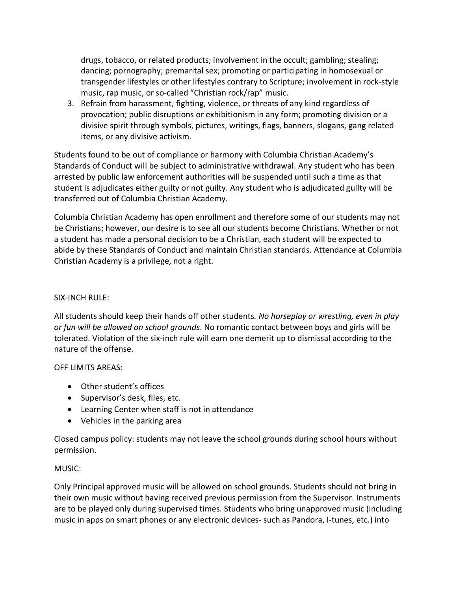drugs, tobacco, or related products; involvement in the occult; gambling; stealing; dancing; pornography; premarital sex; promoting or participating in homosexual or transgender lifestyles or other lifestyles contrary to Scripture; involvement in rock-style music, rap music, or so-called "Christian rock/rap" music.

3. Refrain from harassment, fighting, violence, or threats of any kind regardless of provocation; public disruptions or exhibitionism in any form; promoting division or a divisive spirit through symbols, pictures, writings, flags, banners, slogans, gang related items, or any divisive activism.

Students found to be out of compliance or harmony with Columbia Christian Academy's Standards of Conduct will be subject to administrative withdrawal. Any student who has been arrested by public law enforcement authorities will be suspended until such a time as that student is adjudicates either guilty or not guilty. Any student who is adjudicated guilty will be transferred out of Columbia Christian Academy.

Columbia Christian Academy has open enrollment and therefore some of our students may not be Christians; however, our desire is to see all our students become Christians. Whether or not a student has made a personal decision to be a Christian, each student will be expected to abide by these Standards of Conduct and maintain Christian standards. Attendance at Columbia Christian Academy is a privilege, not a right.

## SIX-INCH RULE:

All students should keep their hands off other students*. No horseplay or wrestling, even in play or fun will be allowed on school grounds*. No romantic contact between boys and girls will be tolerated. Violation of the six-inch rule will earn one demerit up to dismissal according to the nature of the offense.

## OFF LIMITS AREAS:

- Other student's offices
- Supervisor's desk, files, etc.
- Learning Center when staff is not in attendance
- Vehicles in the parking area

Closed campus policy: students may not leave the school grounds during school hours without permission.

# MUSIC:

Only Principal approved music will be allowed on school grounds. Students should not bring in their own music without having received previous permission from the Supervisor. Instruments are to be played only during supervised times. Students who bring unapproved music (including music in apps on smart phones or any electronic devices- such as Pandora, I-tunes, etc.) into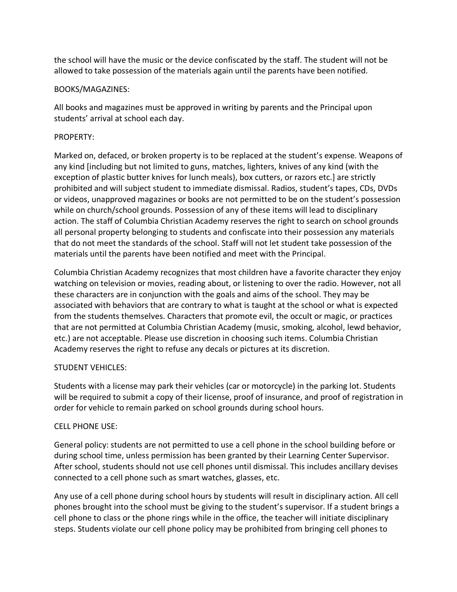the school will have the music or the device confiscated by the staff. The student will not be allowed to take possession of the materials again until the parents have been notified.

# BOOKS/MAGAZINES:

All books and magazines must be approved in writing by parents and the Principal upon students' arrival at school each day.

# PROPERTY:

Marked on, defaced, or broken property is to be replaced at the student's expense. Weapons of any kind [including but not limited to guns, matches, lighters, knives of any kind (with the exception of plastic butter knives for lunch meals), box cutters, or razors etc.] are strictly prohibited and will subject student to immediate dismissal. Radios, student's tapes, CDs, DVDs or videos, unapproved magazines or books are not permitted to be on the student's possession while on church/school grounds. Possession of any of these items will lead to disciplinary action. The staff of Columbia Christian Academy reserves the right to search on school grounds all personal property belonging to students and confiscate into their possession any materials that do not meet the standards of the school. Staff will not let student take possession of the materials until the parents have been notified and meet with the Principal.

Columbia Christian Academy recognizes that most children have a favorite character they enjoy watching on television or movies, reading about, or listening to over the radio. However, not all these characters are in conjunction with the goals and aims of the school. They may be associated with behaviors that are contrary to what is taught at the school or what is expected from the students themselves. Characters that promote evil, the occult or magic, or practices that are not permitted at Columbia Christian Academy (music, smoking, alcohol, lewd behavior, etc.) are not acceptable. Please use discretion in choosing such items. Columbia Christian Academy reserves the right to refuse any decals or pictures at its discretion.

# STUDENT VEHICLES:

Students with a license may park their vehicles (car or motorcycle) in the parking lot. Students will be required to submit a copy of their license, proof of insurance, and proof of registration in order for vehicle to remain parked on school grounds during school hours.

## CELL PHONE USE:

General policy: students are not permitted to use a cell phone in the school building before or during school time, unless permission has been granted by their Learning Center Supervisor. After school, students should not use cell phones until dismissal. This includes ancillary devises connected to a cell phone such as smart watches, glasses, etc.

Any use of a cell phone during school hours by students will result in disciplinary action. All cell phones brought into the school must be giving to the student's supervisor. If a student brings a cell phone to class or the phone rings while in the office, the teacher will initiate disciplinary steps. Students violate our cell phone policy may be prohibited from bringing cell phones to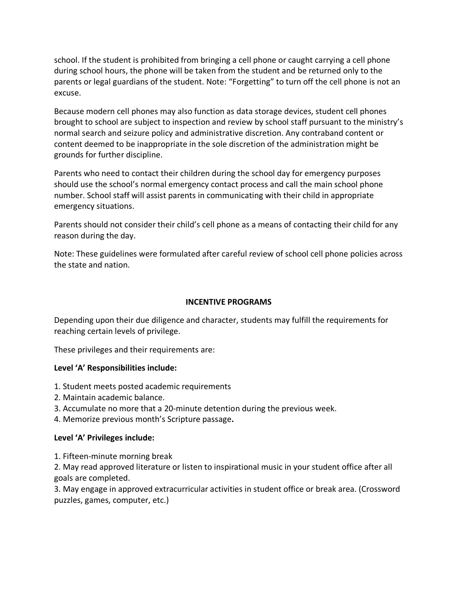school. If the student is prohibited from bringing a cell phone or caught carrying a cell phone during school hours, the phone will be taken from the student and be returned only to the parents or legal guardians of the student. Note: "Forgetting" to turn off the cell phone is not an excuse.

Because modern cell phones may also function as data storage devices, student cell phones brought to school are subject to inspection and review by school staff pursuant to the ministry's normal search and seizure policy and administrative discretion. Any contraband content or content deemed to be inappropriate in the sole discretion of the administration might be grounds for further discipline.

Parents who need to contact their children during the school day for emergency purposes should use the school's normal emergency contact process and call the main school phone number. School staff will assist parents in communicating with their child in appropriate emergency situations.

Parents should not consider their child's cell phone as a means of contacting their child for any reason during the day.

Note: These guidelines were formulated after careful review of school cell phone policies across the state and nation.

# **INCENTIVE PROGRAMS**

Depending upon their due diligence and character, students may fulfill the requirements for reaching certain levels of privilege.

These privileges and their requirements are:

## **Level 'A' Responsibilities include:**

- 1. Student meets posted academic requirements
- 2. Maintain academic balance.
- 3. Accumulate no more that a 20-minute detention during the previous week.
- 4. Memorize previous month's Scripture passage**.**

## **Level 'A' Privileges include:**

1. Fifteen-minute morning break

2. May read approved literature or listen to inspirational music in your student office after all goals are completed.

3. May engage in approved extracurricular activities in student office or break area. (Crossword puzzles, games, computer, etc.)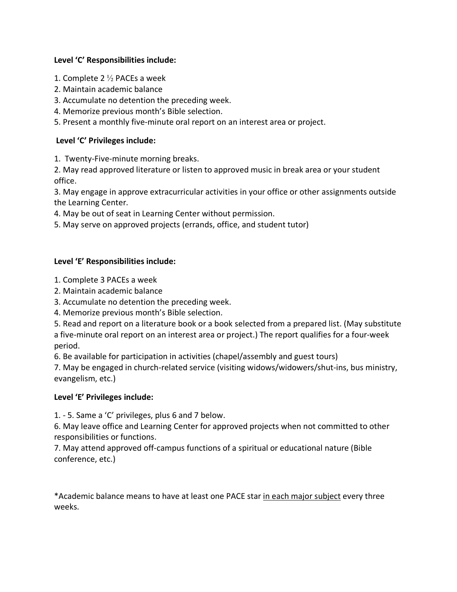# **Level 'C' Responsibilities include:**

- 1. Complete 2  $\frac{1}{2}$  PACEs a week
- 2. Maintain academic balance
- 3. Accumulate no detention the preceding week.
- 4. Memorize previous month's Bible selection.
- 5. Present a monthly five-minute oral report on an interest area or project.

# **Level 'C' Privileges include:**

1. Twenty-Five-minute morning breaks.

2. May read approved literature or listen to approved music in break area or your student office.

3. May engage in approve extracurricular activities in your office or other assignments outside the Learning Center.

- 4. May be out of seat in Learning Center without permission.
- 5. May serve on approved projects (errands, office, and student tutor)

# **Level 'E' Responsibilities include:**

- 1. Complete 3 PACEs a week
- 2. Maintain academic balance
- 3. Accumulate no detention the preceding week.
- 4. Memorize previous month's Bible selection.

5. Read and report on a literature book or a book selected from a prepared list. (May substitute a five-minute oral report on an interest area or project.) The report qualifies for a four-week period.

6. Be available for participation in activities (chapel/assembly and guest tours)

7. May be engaged in church-related service (visiting widows/widowers/shut-ins, bus ministry, evangelism, etc.)

## **Level 'E' Privileges include:**

1. - 5. Same a 'C' privileges, plus 6 and 7 below.

6. May leave office and Learning Center for approved projects when not committed to other responsibilities or functions.

7. May attend approved off-campus functions of a spiritual or educational nature (Bible conference, etc.)

\*Academic balance means to have at least one PACE star in each major subject every three weeks.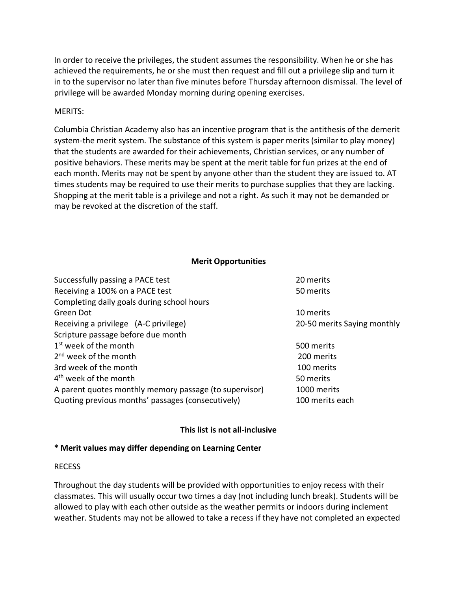In order to receive the privileges, the student assumes the responsibility. When he or she has achieved the requirements, he or she must then request and fill out a privilege slip and turn it in to the supervisor no later than five minutes before Thursday afternoon dismissal. The level of privilege will be awarded Monday morning during opening exercises.

#### MERITS:

Columbia Christian Academy also has an incentive program that is the antithesis of the demerit system-the merit system. The substance of this system is paper merits (similar to play money) that the students are awarded for their achievements, Christian services, or any number of positive behaviors. These merits may be spent at the merit table for fun prizes at the end of each month. Merits may not be spent by anyone other than the student they are issued to. AT times students may be required to use their merits to purchase supplies that they are lacking. Shopping at the merit table is a privilege and not a right. As such it may not be demanded or may be revoked at the discretion of the staff.

#### **Merit Opportunities**

| Successfully passing a PACE test                       | 20 merits                   |
|--------------------------------------------------------|-----------------------------|
| Receiving a 100% on a PACE test                        | 50 merits                   |
| Completing daily goals during school hours             |                             |
| Green Dot                                              | 10 merits                   |
| Receiving a privilege (A-C privilege)                  | 20-50 merits Saying monthly |
| Scripture passage before due month                     |                             |
| $1st$ week of the month                                | 500 merits                  |
| 2 <sup>nd</sup> week of the month                      | 200 merits                  |
| 3rd week of the month                                  | 100 merits                  |
| 4 <sup>th</sup> week of the month                      | 50 merits                   |
| A parent quotes monthly memory passage (to supervisor) | 1000 merits                 |
| Quoting previous months' passages (consecutively)      | 100 merits each             |

## **This list is not all-inclusive**

## **\* Merit values may differ depending on Learning Center**

#### RECESS

Throughout the day students will be provided with opportunities to enjoy recess with their classmates. This will usually occur two times a day (not including lunch break). Students will be allowed to play with each other outside as the weather permits or indoors during inclement weather. Students may not be allowed to take a recess if they have not completed an expected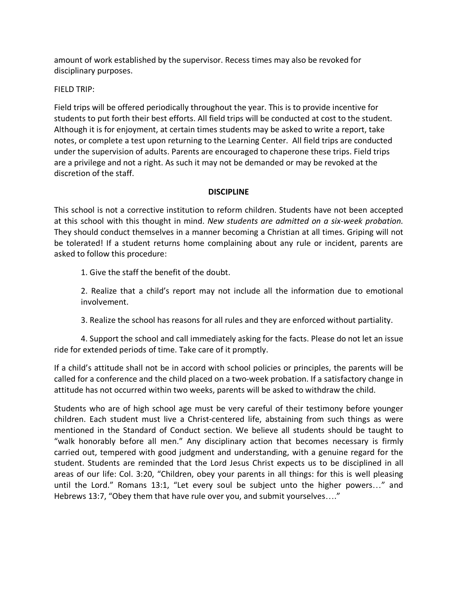amount of work established by the supervisor. Recess times may also be revoked for disciplinary purposes.

FIELD TRIP:

Field trips will be offered periodically throughout the year. This is to provide incentive for students to put forth their best efforts. All field trips will be conducted at cost to the student. Although it is for enjoyment, at certain times students may be asked to write a report, take notes, or complete a test upon returning to the Learning Center. All field trips are conducted under the supervision of adults. Parents are encouraged to chaperone these trips. Field trips are a privilege and not a right. As such it may not be demanded or may be revoked at the discretion of the staff.

## **DISCIPLINE**

This school is not a corrective institution to reform children. Students have not been accepted at this school with this thought in mind. *New students are admitted on a six-week probation.* They should conduct themselves in a manner becoming a Christian at all times. Griping will not be tolerated! If a student returns home complaining about any rule or incident, parents are asked to follow this procedure:

1. Give the staff the benefit of the doubt.

2. Realize that a child's report may not include all the information due to emotional involvement.

3. Realize the school has reasons for all rules and they are enforced without partiality.

4. Support the school and call immediately asking for the facts. Please do not let an issue ride for extended periods of time. Take care of it promptly.

If a child's attitude shall not be in accord with school policies or principles, the parents will be called for a conference and the child placed on a two-week probation. If a satisfactory change in attitude has not occurred within two weeks, parents will be asked to withdraw the child.

Students who are of high school age must be very careful of their testimony before younger children. Each student must live a Christ-centered life, abstaining from such things as were mentioned in the Standard of Conduct section. We believe all students should be taught to "walk honorably before all men." Any disciplinary action that becomes necessary is firmly carried out, tempered with good judgment and understanding, with a genuine regard for the student. Students are reminded that the Lord Jesus Christ expects us to be disciplined in all areas of our life: Col. 3:20, "Children, obey your parents in all things: for this is well pleasing until the Lord." Romans 13:1, "Let every soul be subject unto the higher powers…" and Hebrews 13:7, "Obey them that have rule over you, and submit yourselves…."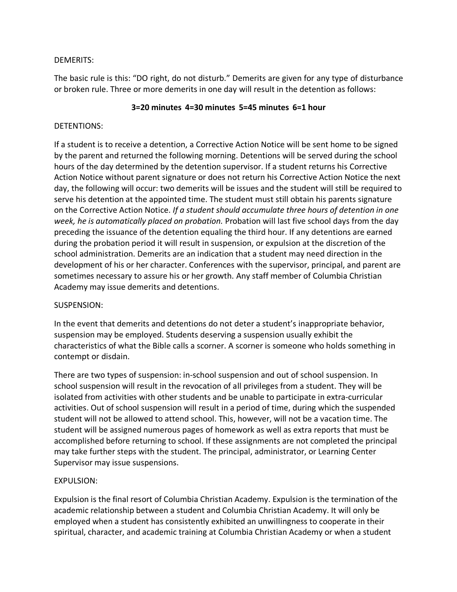# DEMERITS:

The basic rule is this: "DO right, do not disturb." Demerits are given for any type of disturbance or broken rule. Three or more demerits in one day will result in the detention as follows:

## **3=20 minutes 4=30 minutes 5=45 minutes 6=1 hour**

# DETENTIONS:

If a student is to receive a detention, a Corrective Action Notice will be sent home to be signed by the parent and returned the following morning. Detentions will be served during the school hours of the day determined by the detention supervisor. If a student returns his Corrective Action Notice without parent signature or does not return his Corrective Action Notice the next day, the following will occur: two demerits will be issues and the student will still be required to serve his detention at the appointed time. The student must still obtain his parents signature on the Corrective Action Notice. *If a student should accumulate three hours of detention in one week, he is automatically placed on probation.* Probation will last five school days from the day preceding the issuance of the detention equaling the third hour. If any detentions are earned during the probation period it will result in suspension, or expulsion at the discretion of the school administration. Demerits are an indication that a student may need direction in the development of his or her character. Conferences with the supervisor, principal, and parent are sometimes necessary to assure his or her growth. Any staff member of Columbia Christian Academy may issue demerits and detentions.

## SUSPENSION:

In the event that demerits and detentions do not deter a student's inappropriate behavior, suspension may be employed. Students deserving a suspension usually exhibit the characteristics of what the Bible calls a scorner. A scorner is someone who holds something in contempt or disdain.

There are two types of suspension: in-school suspension and out of school suspension. In school suspension will result in the revocation of all privileges from a student. They will be isolated from activities with other students and be unable to participate in extra-curricular activities. Out of school suspension will result in a period of time, during which the suspended student will not be allowed to attend school. This, however, will not be a vacation time. The student will be assigned numerous pages of homework as well as extra reports that must be accomplished before returning to school. If these assignments are not completed the principal may take further steps with the student. The principal, administrator, or Learning Center Supervisor may issue suspensions.

# EXPULSION:

Expulsion is the final resort of Columbia Christian Academy. Expulsion is the termination of the academic relationship between a student and Columbia Christian Academy. It will only be employed when a student has consistently exhibited an unwillingness to cooperate in their spiritual, character, and academic training at Columbia Christian Academy or when a student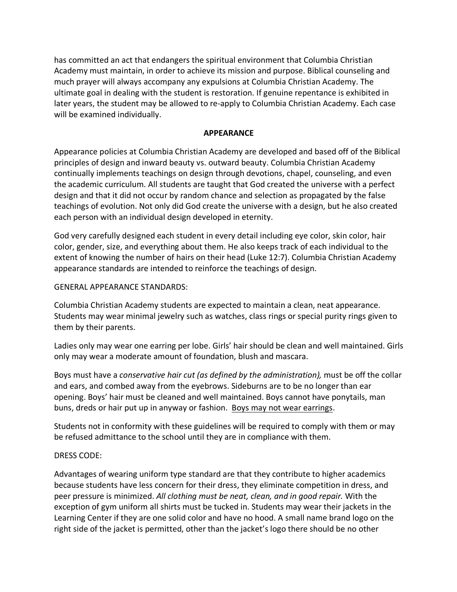has committed an act that endangers the spiritual environment that Columbia Christian Academy must maintain, in order to achieve its mission and purpose. Biblical counseling and much prayer will always accompany any expulsions at Columbia Christian Academy. The ultimate goal in dealing with the student is restoration. If genuine repentance is exhibited in later years, the student may be allowed to re-apply to Columbia Christian Academy. Each case will be examined individually.

#### **APPEARANCE**

Appearance policies at Columbia Christian Academy are developed and based off of the Biblical principles of design and inward beauty vs. outward beauty. Columbia Christian Academy continually implements teachings on design through devotions, chapel, counseling, and even the academic curriculum. All students are taught that God created the universe with a perfect design and that it did not occur by random chance and selection as propagated by the false teachings of evolution. Not only did God create the universe with a design, but he also created each person with an individual design developed in eternity.

God very carefully designed each student in every detail including eye color, skin color, hair color, gender, size, and everything about them. He also keeps track of each individual to the extent of knowing the number of hairs on their head (Luke 12:7). Columbia Christian Academy appearance standards are intended to reinforce the teachings of design.

#### GENERAL APPEARANCE STANDARDS:

Columbia Christian Academy students are expected to maintain a clean, neat appearance. Students may wear minimal jewelry such as watches, class rings or special purity rings given to them by their parents.

Ladies only may wear one earring per lobe. Girls' hair should be clean and well maintained. Girls only may wear a moderate amount of foundation, blush and mascara.

Boys must have a *conservative hair cut (as defined by the administration),* must be off the collar and ears, and combed away from the eyebrows. Sideburns are to be no longer than ear opening. Boys' hair must be cleaned and well maintained. Boys cannot have ponytails, man buns, dreds or hair put up in anyway or fashion. Boys may not wear earrings.

Students not in conformity with these guidelines will be required to comply with them or may be refused admittance to the school until they are in compliance with them.

#### DRESS CODE:

Advantages of wearing uniform type standard are that they contribute to higher academics because students have less concern for their dress, they eliminate competition in dress, and peer pressure is minimized. *All clothing must be neat, clean, and in good repair.* With the exception of gym uniform all shirts must be tucked in. Students may wear their jackets in the Learning Center if they are one solid color and have no hood. A small name brand logo on the right side of the jacket is permitted, other than the jacket's logo there should be no other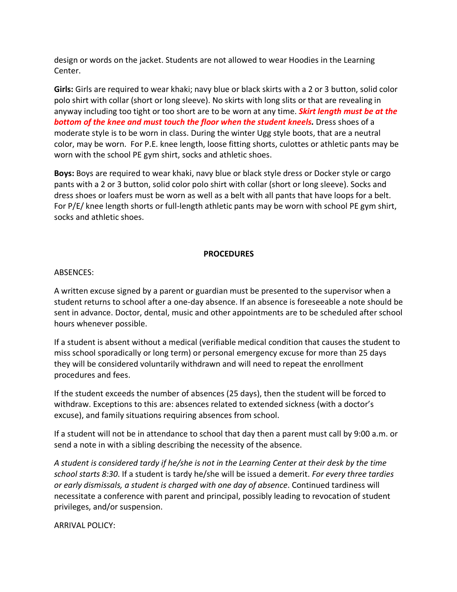design or words on the jacket. Students are not allowed to wear Hoodies in the Learning Center.

**Girls:** Girls are required to wear khaki; navy blue or black skirts with a 2 or 3 button, solid color polo shirt with collar (short or long sleeve). No skirts with long slits or that are revealing in anyway including too tight or too short are to be worn at any time. *Skirt length must be at the bottom of the knee and must touch the floor when the student kneels.* Dress shoes of a moderate style is to be worn in class. During the winter Ugg style boots, that are a neutral color, may be worn. For P.E. knee length, loose fitting shorts, culottes or athletic pants may be worn with the school PE gym shirt, socks and athletic shoes.

**Boys:** Boys are required to wear khaki, navy blue or black style dress or Docker style or cargo pants with a 2 or 3 button, solid color polo shirt with collar (short or long sleeve). Socks and dress shoes or loafers must be worn as well as a belt with all pants that have loops for a belt. For P/E/ knee length shorts or full-length athletic pants may be worn with school PE gym shirt, socks and athletic shoes.

#### **PROCEDURES**

#### ABSENCES:

A written excuse signed by a parent or guardian must be presented to the supervisor when a student returns to school after a one-day absence. If an absence is foreseeable a note should be sent in advance. Doctor, dental, music and other appointments are to be scheduled after school hours whenever possible.

If a student is absent without a medical (verifiable medical condition that causes the student to miss school sporadically or long term) or personal emergency excuse for more than 25 days they will be considered voluntarily withdrawn and will need to repeat the enrollment procedures and fees.

If the student exceeds the number of absences (25 days), then the student will be forced to withdraw. Exceptions to this are: absences related to extended sickness (with a doctor's excuse), and family situations requiring absences from school.

If a student will not be in attendance to school that day then a parent must call by 9:00 a.m. or send a note in with a sibling describing the necessity of the absence.

*A student is considered tardy if he/she is not in the Learning Center at their desk by the time school starts 8:30*. If a student is tardy he/she will be issued a demerit. *For every three tardies or early dismissals, a student is charged with one day of absence*. Continued tardiness will necessitate a conference with parent and principal, possibly leading to revocation of student privileges, and/or suspension.

ARRIVAL POLICY: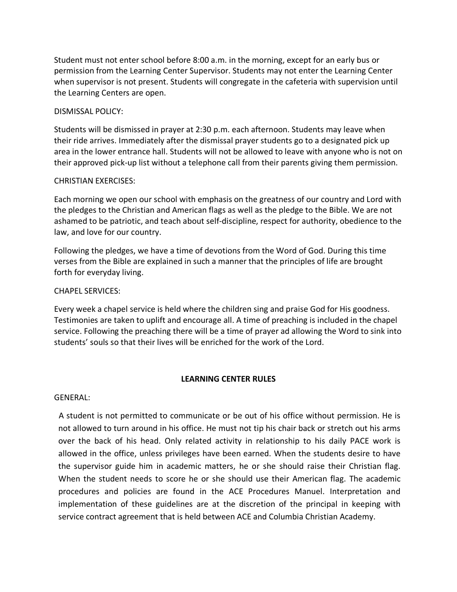Student must not enter school before 8:00 a.m. in the morning, except for an early bus or permission from the Learning Center Supervisor. Students may not enter the Learning Center when supervisor is not present. Students will congregate in the cafeteria with supervision until the Learning Centers are open.

#### DISMISSAL POLICY:

Students will be dismissed in prayer at 2:30 p.m. each afternoon. Students may leave when their ride arrives. Immediately after the dismissal prayer students go to a designated pick up area in the lower entrance hall. Students will not be allowed to leave with anyone who is not on their approved pick-up list without a telephone call from their parents giving them permission.

#### CHRISTIAN EXERCISES:

Each morning we open our school with emphasis on the greatness of our country and Lord with the pledges to the Christian and American flags as well as the pledge to the Bible. We are not ashamed to be patriotic, and teach about self-discipline, respect for authority, obedience to the law, and love for our country.

Following the pledges, we have a time of devotions from the Word of God. During this time verses from the Bible are explained in such a manner that the principles of life are brought forth for everyday living.

#### CHAPEL SERVICES:

Every week a chapel service is held where the children sing and praise God for His goodness. Testimonies are taken to uplift and encourage all. A time of preaching is included in the chapel service. Following the preaching there will be a time of prayer ad allowing the Word to sink into students' souls so that their lives will be enriched for the work of the Lord.

#### **LEARNING CENTER RULES**

#### GENERAL:

A student is not permitted to communicate or be out of his office without permission. He is not allowed to turn around in his office. He must not tip his chair back or stretch out his arms over the back of his head. Only related activity in relationship to his daily PACE work is allowed in the office, unless privileges have been earned. When the students desire to have the supervisor guide him in academic matters, he or she should raise their Christian flag. When the student needs to score he or she should use their American flag. The academic procedures and policies are found in the ACE Procedures Manuel. Interpretation and implementation of these guidelines are at the discretion of the principal in keeping with service contract agreement that is held between ACE and Columbia Christian Academy.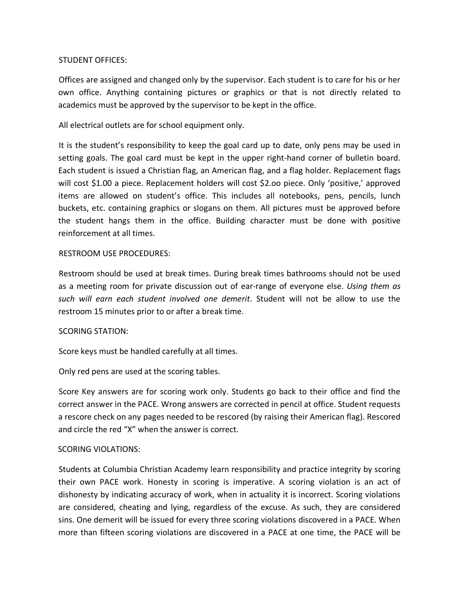## STUDENT OFFICES:

Offices are assigned and changed only by the supervisor. Each student is to care for his or her own office. Anything containing pictures or graphics or that is not directly related to academics must be approved by the supervisor to be kept in the office.

All electrical outlets are for school equipment only.

It is the student's responsibility to keep the goal card up to date, only pens may be used in setting goals. The goal card must be kept in the upper right-hand corner of bulletin board. Each student is issued a Christian flag, an American flag, and a flag holder. Replacement flags will cost \$1.00 a piece. Replacement holders will cost \$2.oo piece. Only 'positive,' approved items are allowed on student's office. This includes all notebooks, pens, pencils, lunch buckets, etc. containing graphics or slogans on them. All pictures must be approved before the student hangs them in the office. Building character must be done with positive reinforcement at all times.

## RESTROOM USE PROCEDURES:

Restroom should be used at break times. During break times bathrooms should not be used as a meeting room for private discussion out of ear-range of everyone else. *Using them as such will earn each student involved one demerit*. Student will not be allow to use the restroom 15 minutes prior to or after a break time.

## SCORING STATION:

Score keys must be handled carefully at all times.

Only red pens are used at the scoring tables.

Score Key answers are for scoring work only. Students go back to their office and find the correct answer in the PACE. Wrong answers are corrected in pencil at office. Student requests a rescore check on any pages needed to be rescored (by raising their American flag). Rescored and circle the red "X" when the answer is correct.

## SCORING VIOLATIONS:

Students at Columbia Christian Academy learn responsibility and practice integrity by scoring their own PACE work. Honesty in scoring is imperative. A scoring violation is an act of dishonesty by indicating accuracy of work, when in actuality it is incorrect. Scoring violations are considered, cheating and lying, regardless of the excuse. As such, they are considered sins. One demerit will be issued for every three scoring violations discovered in a PACE. When more than fifteen scoring violations are discovered in a PACE at one time, the PACE will be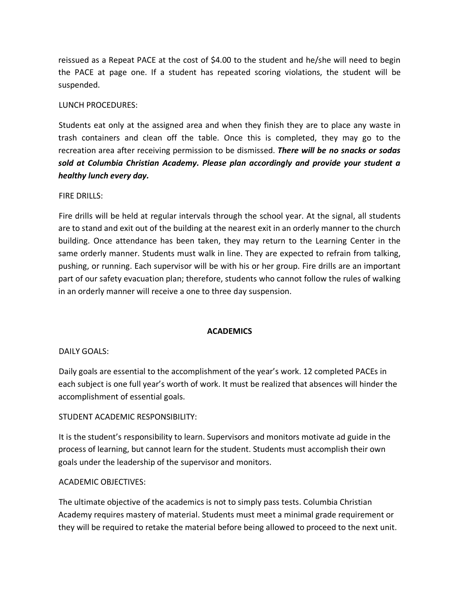reissued as a Repeat PACE at the cost of \$4.00 to the student and he/she will need to begin the PACE at page one. If a student has repeated scoring violations, the student will be suspended.

## LUNCH PROCEDURES:

Students eat only at the assigned area and when they finish they are to place any waste in trash containers and clean off the table. Once this is completed, they may go to the recreation area after receiving permission to be dismissed. *There will be no snacks or sodas sold at Columbia Christian Academy. Please plan accordingly and provide your student a healthy lunch every day.*

## FIRE DRILLS:

Fire drills will be held at regular intervals through the school year. At the signal, all students are to stand and exit out of the building at the nearest exit in an orderly manner to the church building. Once attendance has been taken, they may return to the Learning Center in the same orderly manner. Students must walk in line. They are expected to refrain from talking, pushing, or running. Each supervisor will be with his or her group. Fire drills are an important part of our safety evacuation plan; therefore, students who cannot follow the rules of walking in an orderly manner will receive a one to three day suspension.

#### **ACADEMICS**

#### DAILY GOALS:

Daily goals are essential to the accomplishment of the year's work. 12 completed PACEs in each subject is one full year's worth of work. It must be realized that absences will hinder the accomplishment of essential goals.

## STUDENT ACADEMIC RESPONSIBILITY:

It is the student's responsibility to learn. Supervisors and monitors motivate ad guide in the process of learning, but cannot learn for the student. Students must accomplish their own goals under the leadership of the supervisor and monitors.

#### ACADEMIC OBJECTIVES:

The ultimate objective of the academics is not to simply pass tests. Columbia Christian Academy requires mastery of material. Students must meet a minimal grade requirement or they will be required to retake the material before being allowed to proceed to the next unit.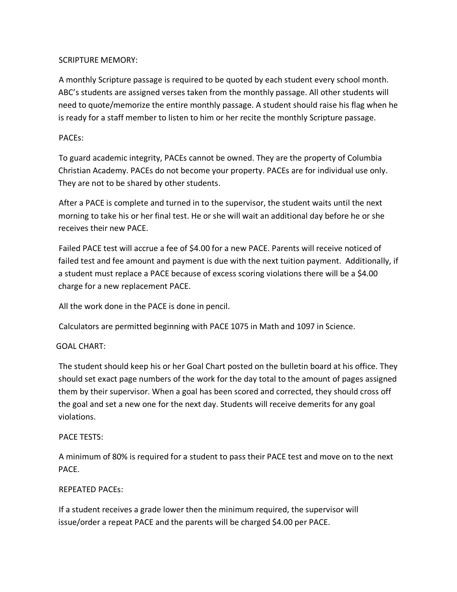# SCRIPTURE MEMORY:

A monthly Scripture passage is required to be quoted by each student every school month. ABC's students are assigned verses taken from the monthly passage. All other students will need to quote/memorize the entire monthly passage. A student should raise his flag when he is ready for a staff member to listen to him or her recite the monthly Scripture passage.

# PACEs:

To guard academic integrity, PACEs cannot be owned. They are the property of Columbia Christian Academy. PACEs do not become your property. PACEs are for individual use only. They are not to be shared by other students.

After a PACE is complete and turned in to the supervisor, the student waits until the next morning to take his or her final test. He or she will wait an additional day before he or she receives their new PACE.

Failed PACE test will accrue a fee of \$4.00 for a new PACE. Parents will receive noticed of failed test and fee amount and payment is due with the next tuition payment. Additionally, if a student must replace a PACE because of excess scoring violations there will be a \$4.00 charge for a new replacement PACE.

All the work done in the PACE is done in pencil.

Calculators are permitted beginning with PACE 1075 in Math and 1097 in Science.

## GOAL CHART:

The student should keep his or her Goal Chart posted on the bulletin board at his office. They should set exact page numbers of the work for the day total to the amount of pages assigned them by their supervisor. When a goal has been scored and corrected, they should cross off the goal and set a new one for the next day. Students will receive demerits for any goal violations.

## PACE TESTS:

A minimum of 80% is required for a student to pass their PACE test and move on to the next PACE.

# REPEATED PACEs:

If a student receives a grade lower then the minimum required, the supervisor will issue/order a repeat PACE and the parents will be charged \$4.00 per PACE.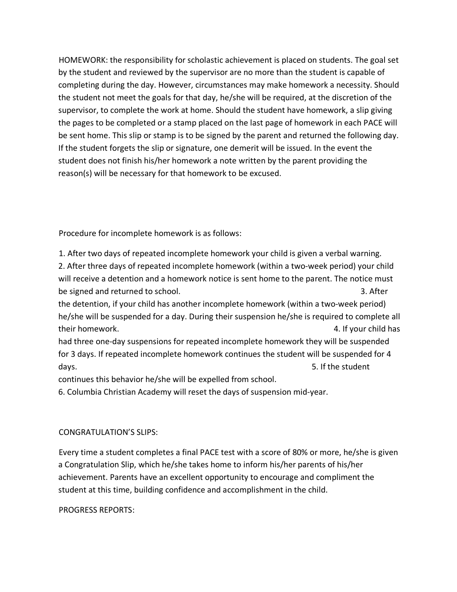HOMEWORK: the responsibility for scholastic achievement is placed on students. The goal set by the student and reviewed by the supervisor are no more than the student is capable of completing during the day. However, circumstances may make homework a necessity. Should the student not meet the goals for that day, he/she will be required, at the discretion of the supervisor, to complete the work at home. Should the student have homework, a slip giving the pages to be completed or a stamp placed on the last page of homework in each PACE will be sent home. This slip or stamp is to be signed by the parent and returned the following day. If the student forgets the slip or signature, one demerit will be issued. In the event the student does not finish his/her homework a note written by the parent providing the reason(s) will be necessary for that homework to be excused.

Procedure for incomplete homework is as follows:

1. After two days of repeated incomplete homework your child is given a verbal warning.

2. After three days of repeated incomplete homework (within a two-week period) your child will receive a detention and a homework notice is sent home to the parent. The notice must be signed and returned to school. **3.** After

the detention, if your child has another incomplete homework (within a two-week period) he/she will be suspended for a day. During their suspension he/she is required to complete all their homework. 4. If your child has

had three one-day suspensions for repeated incomplete homework they will be suspended for 3 days. If repeated incomplete homework continues the student will be suspended for 4 days. The student of the student of the student of the student of the student of the student of the student of the student of the student of the student of the student of the student of the student of the student of the st

continues this behavior he/she will be expelled from school.

6. Columbia Christian Academy will reset the days of suspension mid-year.

# CONGRATULATION'S SLIPS:

Every time a student completes a final PACE test with a score of 80% or more, he/she is given a Congratulation Slip, which he/she takes home to inform his/her parents of his/her achievement. Parents have an excellent opportunity to encourage and compliment the student at this time, building confidence and accomplishment in the child.

PROGRESS REPORTS: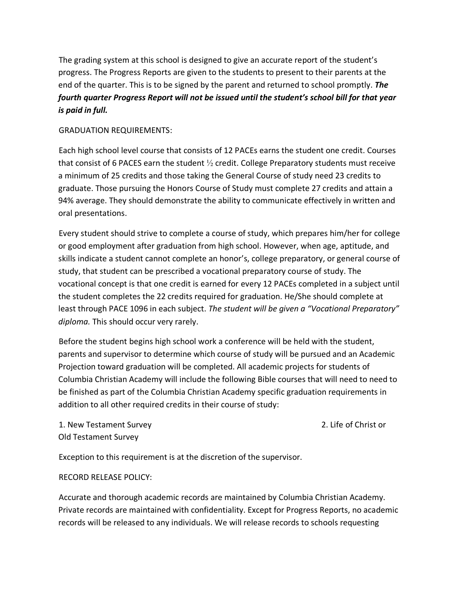The grading system at this school is designed to give an accurate report of the student's progress. The Progress Reports are given to the students to present to their parents at the end of the quarter. This is to be signed by the parent and returned to school promptly. *The fourth quarter Progress Report will not be issued until the student's school bill for that year is paid in full.* 

#### GRADUATION REQUIREMENTS:

Each high school level course that consists of 12 PACEs earns the student one credit. Courses that consist of 6 PACES earn the student  $\frac{1}{2}$  credit. College Preparatory students must receive a minimum of 25 credits and those taking the General Course of study need 23 credits to graduate. Those pursuing the Honors Course of Study must complete 27 credits and attain a 94% average. They should demonstrate the ability to communicate effectively in written and oral presentations.

Every student should strive to complete a course of study, which prepares him/her for college or good employment after graduation from high school. However, when age, aptitude, and skills indicate a student cannot complete an honor's, college preparatory, or general course of study, that student can be prescribed a vocational preparatory course of study. The vocational concept is that one credit is earned for every 12 PACEs completed in a subject until the student completes the 22 credits required for graduation. He/She should complete at least through PACE 1096 in each subject. *The student will be given a "Vocational Preparatory" diploma.* This should occur very rarely.

Before the student begins high school work a conference will be held with the student, parents and supervisor to determine which course of study will be pursued and an Academic Projection toward graduation will be completed. All academic projects for students of Columbia Christian Academy will include the following Bible courses that will need to need to be finished as part of the Columbia Christian Academy specific graduation requirements in addition to all other required credits in their course of study:

1. New Testament Survey 2. Life of Christ or Old Testament Survey

Exception to this requirement is at the discretion of the supervisor.

#### RECORD RELEASE POLICY:

Accurate and thorough academic records are maintained by Columbia Christian Academy. Private records are maintained with confidentiality. Except for Progress Reports, no academic records will be released to any individuals. We will release records to schools requesting